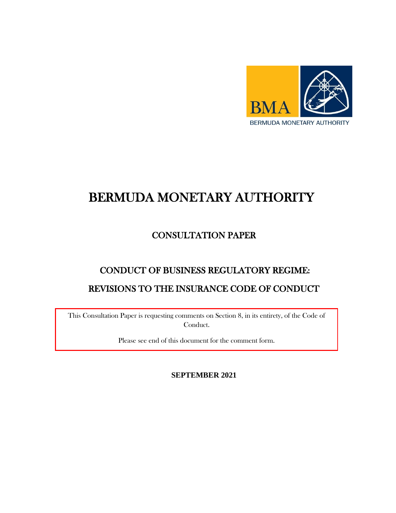

# BERMUDA MONETARY AUTHORITY

# CONSULTATION PAPER

# CONDUCT OF BUSINESS REGULATORY REGIME: REVISIONS TO THE INSURANCE CODE OF CONDUCT

This Consultation Paper is requesting comments on Section 8, in its entirety, of the Code of Conduct.

Please see end of this document for the comment form.

**SEPTEMBER 2021**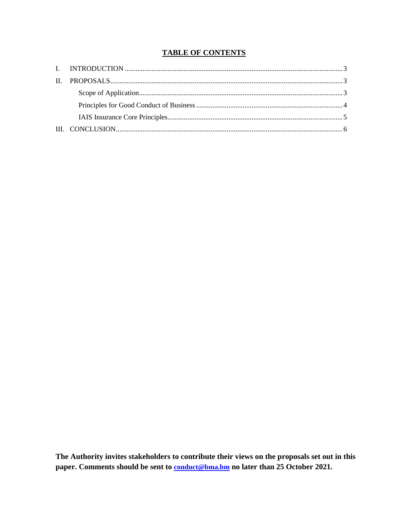# **TABLE OF CONTENTS**

The Authority invites stakeholders to contribute their views on the proposals set out in this paper. Comments should be sent to **conduct@bma.bm** no later than 25 October 2021.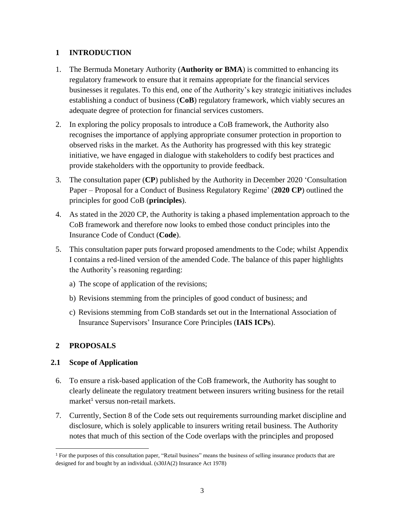# <span id="page-2-0"></span>**1 INTRODUCTION**

- 1. The Bermuda Monetary Authority (**Authority or BMA**) is committed to enhancing its regulatory framework to ensure that it remains appropriate for the financial services businesses it regulates. To this end, one of the Authority's key strategic initiatives includes establishing a conduct of business (**CoB**) regulatory framework, which viably secures an adequate degree of protection for financial services customers.
- 2. In exploring the policy proposals to introduce a CoB framework, the Authority also recognises the importance of applying appropriate consumer protection in proportion to observed risks in the market. As the Authority has progressed with this key strategic initiative, we have engaged in dialogue with stakeholders to codify best practices and provide stakeholders with the opportunity to provide feedback.
- 3. The consultation paper (**CP**) published by the Authority in December 2020 'Consultation Paper – Proposal for a Conduct of Business Regulatory Regime' (**2020 CP**) outlined the principles for good CoB (**principles**).
- 4. As stated in the 2020 CP, the Authority is taking a phased implementation approach to the CoB framework and therefore now looks to embed those conduct principles into the Insurance Code of Conduct (**Code**).
- 5. This consultation paper puts forward proposed amendments to the Code; whilst Appendix I contains a red-lined version of the amended Code. The balance of this paper highlights the Authority's reasoning regarding:
	- a) The scope of application of the revisions;
	- b) Revisions stemming from the principles of good conduct of business; and
	- c) Revisions stemming from CoB standards set out in the International Association of Insurance Supervisors' Insurance Core Principles (**IAIS ICPs**).

# <span id="page-2-1"></span>**2 PROPOSALS**

 $\overline{\phantom{a}}$ 

# <span id="page-2-2"></span>**2.1 Scope of Application**

- 6. To ensure a risk-based application of the CoB framework, the Authority has sought to clearly delineate the regulatory treatment between insurers writing business for the retail market<sup>1</sup> versus non-retail markets.
- 7. Currently, Section 8 of the Code sets out requirements surrounding market discipline and disclosure, which is solely applicable to insurers writing retail business. The Authority notes that much of this section of the Code overlaps with the principles and proposed

<sup>1</sup> For the purposes of this consultation paper, "Retail business" means the business of selling insurance products that are designed for and bought by an individual. (s30JA(2) Insurance Act 1978)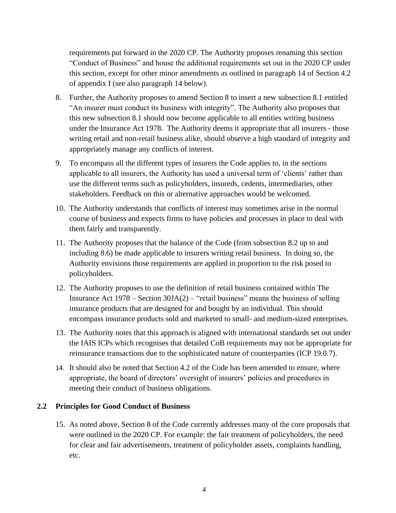requirements put forward in the 2020 CP. The Authority proposes renaming this section "Conduct of Business" and house the additional requirements set out in the 2020 CP under this section, except for other minor amendments as outlined in paragraph 14 of Section 4.2 of appendix I (see also paragraph 14 below).

- 8. Further, the Authority proposes to amend Section 8 to insert a new subsection 8.1 entitled "An insurer must conduct its business with integrity". The Authority also proposes that this new subsection 8.1 should now become applicable to all entities writing business under the Insurance Act 1978. The Authority deems it appropriate that all insurers - those writing retail and non-retail business alike, should observe a high standard of integrity and appropriately manage any conflicts of interest.
- 9. To encompass all the different types of insurers the Code applies to, in the sections applicable to all insurers, the Authority has used a universal term of 'clients' rather than use the different terms such as policyholders, insureds, cedents, intermediaries, other stakeholders. Feedback on this or alternative approaches would be welcomed.
- 10. The Authority understands that conflicts of interest may sometimes arise in the normal course of business and expects firms to have policies and processes in place to deal with them fairly and transparently.
- 11. The Authority proposes that the balance of the Code (from subsection 8.2 up to and including 8.6) be made applicable to insurers writing retail business. In doing so, the Authority envisions those requirements are applied in proportion to the risk posed to policyholders.
- 12. The Authority proposes to use the definition of retail business contained within The Insurance Act  $1978$  – Section  $30JA(2)$  – "retail business" means the business of selling insurance products that are designed for and bought by an individual. This should encompass insurance products sold and marketed to small- and medium-sized enterprises.
- 13. The Authority notes that this approach is aligned with international standards set out under the IAIS ICPs which recognises that detailed CoB requirements may not be appropriate for reinsurance transactions due to the sophisticated nature of counterparties (ICP 19.0.7).
- 14. It should also be noted that Section 4.2 of the Code has been amended to ensure, where appropriate, the board of directors' oversight of insurers' policies and procedures in meeting their conduct of business obligations.

# <span id="page-3-0"></span>**2.2 Principles for Good Conduct of Business**

15. As noted above, Section 8 of the Code currently addresses many of the core proposals that were outlined in the 2020 CP. For example: the fair treatment of policyholders, the need for clear and fair advertisements, treatment of policyholder assets, complaints handling, etc.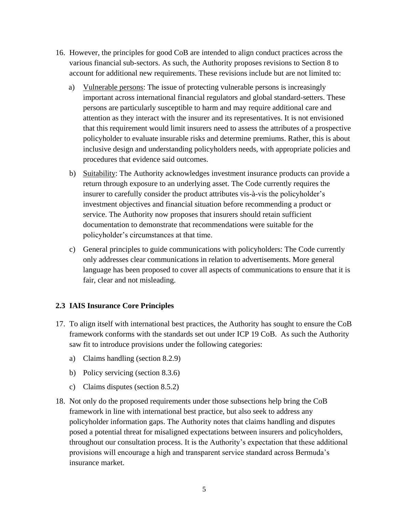- 16. However, the principles for good CoB are intended to align conduct practices across the various financial sub-sectors. As such, the Authority proposes revisions to Section 8 to account for additional new requirements. These revisions include but are not limited to:
	- a) Vulnerable persons: The issue of protecting vulnerable persons is increasingly important across international financial regulators and global standard-setters. These persons are particularly susceptible to harm and may require additional care and attention as they interact with the insurer and its representatives. It is not envisioned that this requirement would limit insurers need to assess the attributes of a prospective policyholder to evaluate insurable risks and determine premiums. Rather, this is about inclusive design and understanding policyholders needs, with appropriate policies and procedures that evidence said outcomes.
	- b) Suitability: The Authority acknowledges investment insurance products can provide a return through exposure to an underlying asset. The Code currently requires the insurer to carefully consider the product attributes vis-à-vis the policyholder's investment objectives and financial situation before recommending a product or service. The Authority now proposes that insurers should retain sufficient documentation to demonstrate that recommendations were suitable for the policyholder's circumstances at that time.
	- c) General principles to guide communications with policyholders: The Code currently only addresses clear communications in relation to advertisements. More general language has been proposed to cover all aspects of communications to ensure that it is fair, clear and not misleading.

# <span id="page-4-0"></span>**2.3 IAIS Insurance Core Principles**

- 17. To align itself with international best practices, the Authority has sought to ensure the CoB framework conforms with the standards set out under ICP 19 CoB. As such the Authority saw fit to introduce provisions under the following categories:
	- a) Claims handling (section 8.2.9)
	- b) Policy servicing (section 8.3.6)
	- c) Claims disputes (section 8.5.2)
- 18. Not only do the proposed requirements under those subsections help bring the CoB framework in line with international best practice, but also seek to address any policyholder information gaps. The Authority notes that claims handling and disputes posed a potential threat for misaligned expectations between insurers and policyholders, throughout our consultation process. It is the Authority's expectation that these additional provisions will encourage a high and transparent service standard across Bermuda's insurance market.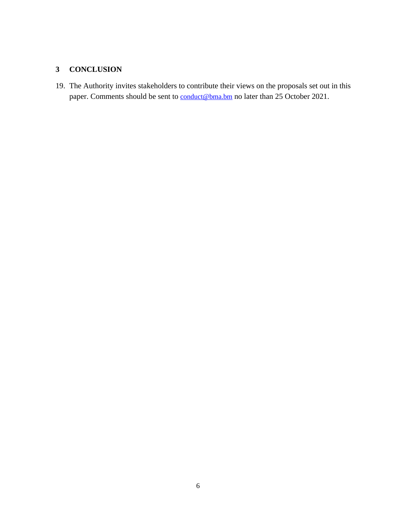# <span id="page-5-0"></span>**3 CONCLUSION**

19. The Authority invites stakeholders to contribute their views on the proposals set out in this paper. Comments should be sent to [conduct@bma.bm](mailto:conduct@bma.bm) no later than 25 October 2021.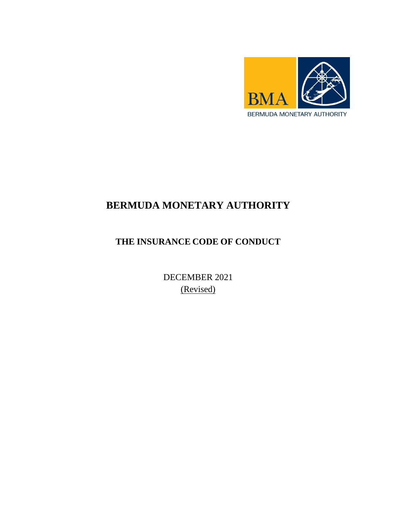

# **BERMUDA MONETARY AUTHORITY**

# **THE INSURANCE CODE OF CONDUCT**

DECEMBER 2021 (Revised)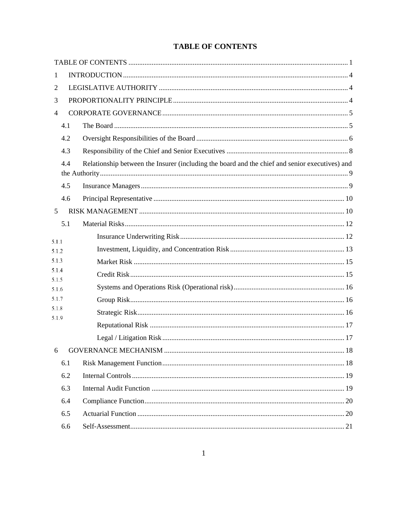| 1              |     |                                                                                                |  |  |
|----------------|-----|------------------------------------------------------------------------------------------------|--|--|
| 2              |     |                                                                                                |  |  |
| 3              |     |                                                                                                |  |  |
| $\overline{4}$ |     |                                                                                                |  |  |
|                | 4.1 |                                                                                                |  |  |
|                | 4.2 |                                                                                                |  |  |
|                | 4.3 |                                                                                                |  |  |
| 4.4            |     | Relationship between the Insurer (including the board and the chief and senior executives) and |  |  |
|                | 4.5 |                                                                                                |  |  |
|                | 4.6 |                                                                                                |  |  |
| 5              |     |                                                                                                |  |  |
|                | 5.1 |                                                                                                |  |  |
| 5.1.1          |     |                                                                                                |  |  |
| 5.1.2          |     |                                                                                                |  |  |
| 5.1.3          |     |                                                                                                |  |  |
| 5.1.4<br>5.1.5 |     |                                                                                                |  |  |
| 5.1.6          |     |                                                                                                |  |  |
| 5.1.7          |     |                                                                                                |  |  |
| 5.1.8<br>5.1.9 |     |                                                                                                |  |  |
|                |     |                                                                                                |  |  |
|                |     |                                                                                                |  |  |
|                |     |                                                                                                |  |  |
|                | 6.1 |                                                                                                |  |  |
|                | 6.2 |                                                                                                |  |  |
|                | 6.3 |                                                                                                |  |  |
|                | 6.4 |                                                                                                |  |  |
|                | 6.5 |                                                                                                |  |  |
|                | 6.6 |                                                                                                |  |  |

# <span id="page-7-0"></span>**TABLE OF CONTENTS**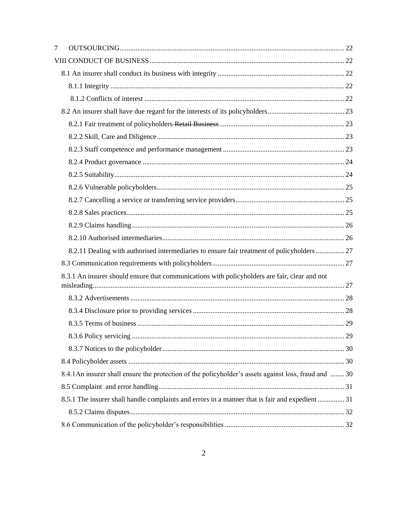| 7                                                                                             |                                                                                                      |  |  |  |
|-----------------------------------------------------------------------------------------------|------------------------------------------------------------------------------------------------------|--|--|--|
|                                                                                               |                                                                                                      |  |  |  |
|                                                                                               |                                                                                                      |  |  |  |
|                                                                                               |                                                                                                      |  |  |  |
|                                                                                               |                                                                                                      |  |  |  |
|                                                                                               |                                                                                                      |  |  |  |
|                                                                                               |                                                                                                      |  |  |  |
|                                                                                               |                                                                                                      |  |  |  |
|                                                                                               |                                                                                                      |  |  |  |
|                                                                                               |                                                                                                      |  |  |  |
|                                                                                               |                                                                                                      |  |  |  |
|                                                                                               |                                                                                                      |  |  |  |
|                                                                                               |                                                                                                      |  |  |  |
|                                                                                               |                                                                                                      |  |  |  |
|                                                                                               |                                                                                                      |  |  |  |
|                                                                                               |                                                                                                      |  |  |  |
|                                                                                               | 8.2.11 Dealing with authorised intermediaries to ensure fair treatment of policyholders  27          |  |  |  |
|                                                                                               |                                                                                                      |  |  |  |
| 8.3.1 An insurer should ensure that communications with policyholders are fair, clear and not |                                                                                                      |  |  |  |
|                                                                                               |                                                                                                      |  |  |  |
|                                                                                               |                                                                                                      |  |  |  |
|                                                                                               |                                                                                                      |  |  |  |
|                                                                                               |                                                                                                      |  |  |  |
|                                                                                               |                                                                                                      |  |  |  |
|                                                                                               |                                                                                                      |  |  |  |
|                                                                                               | 8.4.1An insurer shall ensure the protection of the policyholder's assets against loss, fraud and  30 |  |  |  |
|                                                                                               |                                                                                                      |  |  |  |
|                                                                                               | 8.5.1 The insurer shall handle complaints and errors in a manner that is fair and expedient  31      |  |  |  |
|                                                                                               |                                                                                                      |  |  |  |
|                                                                                               |                                                                                                      |  |  |  |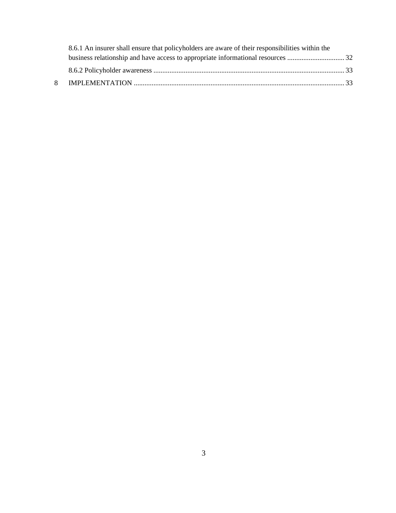| 8.6.1 An insurer shall ensure that policyholders are aware of their responsibilities within the |  |  |
|-------------------------------------------------------------------------------------------------|--|--|
|                                                                                                 |  |  |
|                                                                                                 |  |  |
|                                                                                                 |  |  |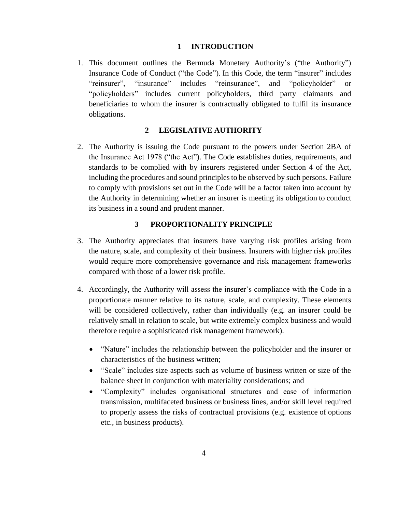# **1 INTRODUCTION**

<span id="page-10-0"></span>1. This document outlines the Bermuda Monetary Authority's ("the Authority") Insurance Code of Conduct ("the Code"). In this Code, the term "insurer" includes "reinsurer", "insurance" includes "reinsurance", and "policyholder" or "policyholders" includes current policyholders, third party claimants and beneficiaries to whom the insurer is contractually obligated to fulfil its insurance obligations.

# **2 LEGISLATIVE AUTHORITY**

<span id="page-10-1"></span>2. The Authority is issuing the Code pursuant to the powers under Section 2BA of the Insurance Act 1978 ("the Act"). The Code establishes duties, requirements, and standards to be complied with by insurers registered under Section 4 of the Act, including the procedures and sound principles to be observed by such persons. Failure to comply with provisions set out in the Code will be a factor taken into account by the Authority in determining whether an insurer is meeting its obligation to conduct its business in a sound and prudent manner.

# <span id="page-10-2"></span>**3 PROPORTIONALITY PRINCIPLE**

- 3. The Authority appreciates that insurers have varying risk profiles arising from the nature, scale, and complexity of their business. Insurers with higher risk profiles would require more comprehensive governance and risk management frameworks compared with those of a lower risk profile.
- 4. Accordingly, the Authority will assess the insurer's compliance with the Code in a proportionate manner relative to its nature, scale, and complexity. These elements will be considered collectively, rather than individually (e.g. an insurer could be relatively small in relation to scale, but write extremely complex business and would therefore require a sophisticated risk management framework).
	- "Nature" includes the relationship between the policyholder and the insurer or characteristics of the business written;
	- "Scale" includes size aspects such as volume of business written or size of the balance sheet in conjunction with materiality considerations; and
	- "Complexity" includes organisational structures and ease of information transmission, multifaceted business or business lines, and/or skill level required to properly assess the risks of contractual provisions (e.g. existence of options etc., in business products).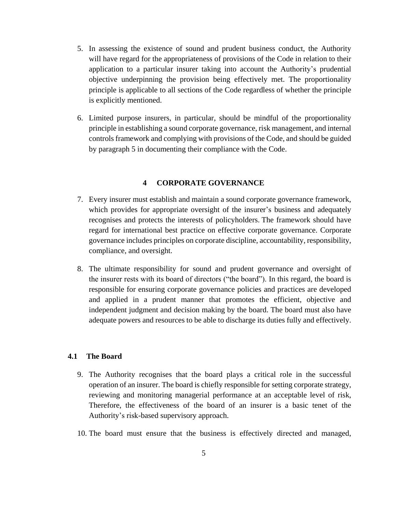- 5. In assessing the existence of sound and prudent business conduct, the Authority will have regard for the appropriateness of provisions of the Code in relation to their application to a particular insurer taking into account the Authority's prudential objective underpinning the provision being effectively met. The proportionality principle is applicable to all sections of the Code regardless of whether the principle is explicitly mentioned.
- 6. Limited purpose insurers, in particular, should be mindful of the proportionality principle in establishing a sound corporate governance, risk management, and internal controls framework and complying with provisions of the Code, and should be guided by paragraph 5 in documenting their compliance with the Code.

# **4 CORPORATE GOVERNANCE**

- <span id="page-11-0"></span>7. Every insurer must establish and maintain a sound corporate governance framework, which provides for appropriate oversight of the insurer's business and adequately recognises and protects the interests of policyholders. The framework should have regard for international best practice on effective corporate governance. Corporate governance includes principles on corporate discipline, accountability, responsibility, compliance, and oversight.
- 8. The ultimate responsibility for sound and prudent governance and oversight of the insurer rests with its board of directors ("the board"). In this regard, the board is responsible for ensuring corporate governance policies and practices are developed and applied in a prudent manner that promotes the efficient, objective and independent judgment and decision making by the board. The board must also have adequate powers and resources to be able to discharge its duties fully and effectively.

# <span id="page-11-1"></span>**4.1 The Board**

- 9. The Authority recognises that the board plays a critical role in the successful operation of an insurer. The board is chiefly responsible for setting corporate strategy, reviewing and monitoring managerial performance at an acceptable level of risk, Therefore, the effectiveness of the board of an insurer is a basic tenet of the Authority's risk-based supervisory approach.
- 10. The board must ensure that the business is effectively directed and managed,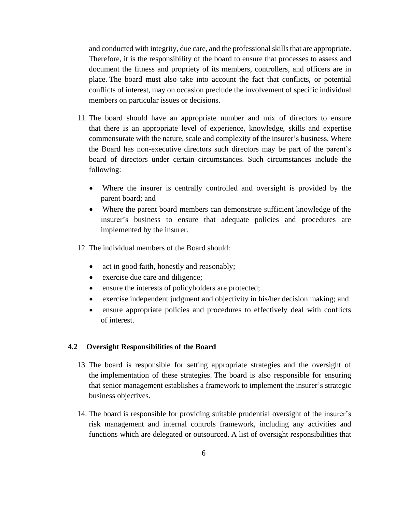and conducted with integrity, due care, and the professional skills that are appropriate. Therefore, it is the responsibility of the board to ensure that processes to assess and document the fitness and propriety of its members, controllers, and officers are in place. The board must also take into account the fact that conflicts, or potential conflicts of interest, may on occasion preclude the involvement of specific individual members on particular issues or decisions.

- 11. The board should have an appropriate number and mix of directors to ensure that there is an appropriate level of experience, knowledge, skills and expertise commensurate with the nature, scale and complexity of the insurer's business. Where the Board has non-executive directors such directors may be part of the parent's board of directors under certain circumstances. Such circumstances include the following:
	- Where the insurer is centrally controlled and oversight is provided by the parent board; and
	- Where the parent board members can demonstrate sufficient knowledge of the insurer's business to ensure that adequate policies and procedures are implemented by the insurer.
- 12. The individual members of the Board should:
	- act in good faith, honestly and reasonably;
	- exercise due care and diligence;
	- ensure the interests of policyholders are protected;
	- exercise independent judgment and objectivity in his/her decision making; and
	- ensure appropriate policies and procedures to effectively deal with conflicts of interest.

# <span id="page-12-0"></span>**4.2 Oversight Responsibilities of the Board**

- 13. The board is responsible for setting appropriate strategies and the oversight of the implementation of these strategies. The board is also responsible for ensuring that senior management establishes a framework to implement the insurer's strategic business objectives.
- 14. The board is responsible for providing suitable prudential oversight of the insurer's risk management and internal controls framework, including any activities and functions which are delegated or outsourced. A list of oversight responsibilities that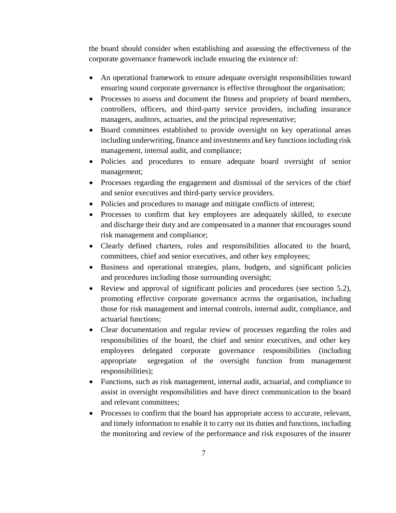the board should consider when establishing and assessing the effectiveness of the corporate governance framework include ensuring the existence of:

- An operational framework to ensure adequate oversight responsibilities toward ensuring sound corporate governance is effective throughout the organisation;
- Processes to assess and document the fitness and propriety of board members, controllers, officers, and third-party service providers, including insurance managers, auditors, actuaries, and the principal representative;
- Board committees established to provide oversight on key operational areas including underwriting, finance and investments and key functions including risk management, internal audit, and compliance;
- Policies and procedures to ensure adequate board oversight of senior management;
- Processes regarding the engagement and dismissal of the services of the chief and senior executives and third-party service providers.
- Policies and procedures to manage and mitigate conflicts of interest;
- Processes to confirm that key employees are adequately skilled, to execute and discharge their duty and are compensated in a manner that encourages sound risk management and compliance;
- Clearly defined charters, roles and responsibilities allocated to the board, committees, chief and senior executives, and other key employees;
- Business and operational strategies, plans, budgets, and significant policies and procedures including those surrounding oversight;
- Review and approval of significant policies and procedures (see section 5.2), promoting effective corporate governance across the organisation, including those for risk management and internal controls, internal audit, compliance, and actuarial functions;
- Clear documentation and regular review of processes regarding the roles and responsibilities of the board, the chief and senior executives, and other key employees delegated corporate governance responsibilities (including appropriate segregation of the oversight function from management responsibilities);
- Functions, such as risk management, internal audit, actuarial, and compliance to assist in oversight responsibilities and have direct communication to the board and relevant committees;
- Processes to confirm that the board has appropriate access to accurate, relevant, and timely information to enable it to carry out its duties and functions, including the monitoring and review of the performance and risk exposures of the insurer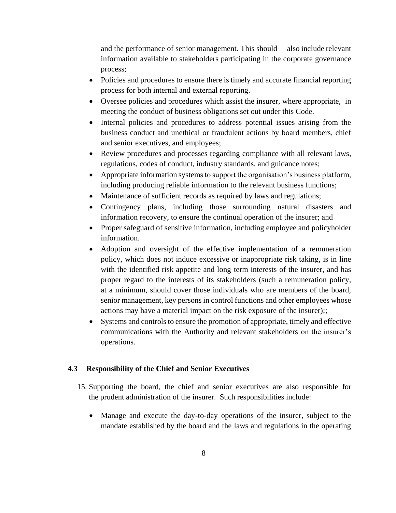and the performance of senior management. This should also include relevant information available to stakeholders participating in the corporate governance process;

- Policies and procedures to ensure there is timely and accurate financial reporting process for both internal and external reporting.
- Oversee policies and procedures which assist the insurer, where appropriate, in meeting the conduct of business obligations set out under this Code.
- Internal policies and procedures to address potential issues arising from the business conduct and unethical or fraudulent actions by board members, chief and senior executives, and employees;
- Review procedures and processes regarding compliance with all relevant laws, regulations, codes of conduct, industry standards, and guidance notes;
- Appropriate information systems to support the organisation's business platform, including producing reliable information to the relevant business functions;
- Maintenance of sufficient records as required by laws and regulations;
- Contingency plans, including those surrounding natural disasters and information recovery, to ensure the continual operation of the insurer; and
- Proper safeguard of sensitive information, including employee and policyholder information.
- Adoption and oversight of the effective implementation of a remuneration policy, which does not induce excessive or inappropriate risk taking, is in line with the identified risk appetite and long term interests of the insurer, and has proper regard to the interests of its stakeholders (such a remuneration policy, at a minimum, should cover those individuals who are members of the board, senior management, key persons in control functions and other employees whose actions may have a material impact on the risk exposure of the insurer);;
- Systems and controls to ensure the promotion of appropriate, timely and effective communications with the Authority and relevant stakeholders on the insurer's operations.

# <span id="page-14-0"></span>**4.3 Responsibility of the Chief and Senior Executives**

- 15. Supporting the board, the chief and senior executives are also responsible for the prudent administration of the insurer. Such responsibilities include:
	- Manage and execute the day-to-day operations of the insurer, subject to the mandate established by the board and the laws and regulations in the operating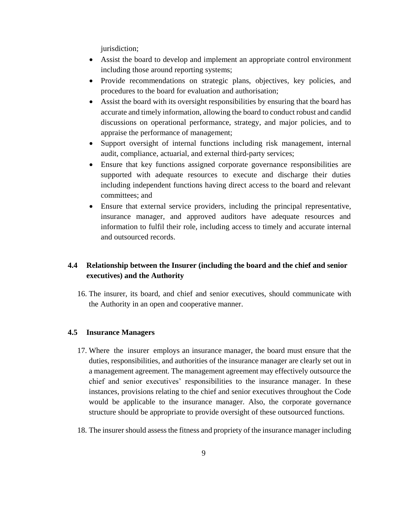jurisdiction;

- Assist the board to develop and implement an appropriate control environment including those around reporting systems;
- Provide recommendations on strategic plans, objectives, key policies, and procedures to the board for evaluation and authorisation;
- Assist the board with its oversight responsibilities by ensuring that the board has accurate and timely information, allowing the board to conduct robust and candid discussions on operational performance, strategy, and major policies, and to appraise the performance of management;
- Support oversight of internal functions including risk management, internal audit, compliance, actuarial, and external third-party services;
- Ensure that key functions assigned corporate governance responsibilities are supported with adequate resources to execute and discharge their duties including independent functions having direct access to the board and relevant committees; and
- Ensure that external service providers, including the principal representative, insurance manager, and approved auditors have adequate resources and information to fulfil their role, including access to timely and accurate internal and outsourced records.

# <span id="page-15-0"></span>**4.4 Relationship between the Insurer (including the board and the chief and senior executives) and the Authority**

16. The insurer, its board, and chief and senior executives, should communicate with the Authority in an open and cooperative manner.

#### <span id="page-15-1"></span>**4.5 Insurance Managers**

- 17. Where the insurer employs an insurance manager, the board must ensure that the duties, responsibilities, and authorities of the insurance manager are clearly set out in a management agreement. The management agreement may effectively outsource the chief and senior executives' responsibilities to the insurance manager. In these instances, provisions relating to the chief and senior executives throughout the Code would be applicable to the insurance manager. Also, the corporate governance structure should be appropriate to provide oversight of these outsourced functions.
- 18. The insurer should assess the fitness and propriety of the insurance manager including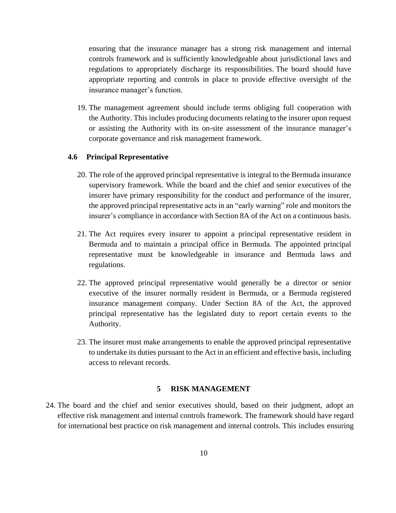ensuring that the insurance manager has a strong risk management and internal controls framework and is sufficiently knowledgeable about jurisdictional laws and regulations to appropriately discharge its responsibilities. The board should have appropriate reporting and controls in place to provide effective oversight of the insurance manager's function.

19. The management agreement should include terms obliging full cooperation with the Authority. This includes producing documents relating to the insurer upon request or assisting the Authority with its on-site assessment of the insurance manager's corporate governance and risk management framework.

#### <span id="page-16-0"></span>**4.6 Principal Representative**

- 20. The role of the approved principal representative is integral to the Bermuda insurance supervisory framework. While the board and the chief and senior executives of the insurer have primary responsibility for the conduct and performance of the insurer, the approved principal representative acts in an "early warning" role and monitors the insurer's compliance in accordance with Section 8A of the Act on a continuous basis.
- 21. The Act requires every insurer to appoint a principal representative resident in Bermuda and to maintain a principal office in Bermuda. The appointed principal representative must be knowledgeable in insurance and Bermuda laws and regulations.
- 22. The approved principal representative would generally be a director or senior executive of the insurer normally resident in Bermuda, or a Bermuda registered insurance management company. Under Section 8A of the Act, the approved principal representative has the legislated duty to report certain events to the Authority.
- 23. The insurer must make arrangements to enable the approved principal representative to undertake its duties pursuant to the Act in an efficient and effective basis, including access to relevant records.

#### **5 RISK MANAGEMENT**

<span id="page-16-1"></span>24. The board and the chief and senior executives should, based on their judgment, adopt an effective risk management and internal controls framework. The framework should have regard for international best practice on risk management and internal controls. This includes ensuring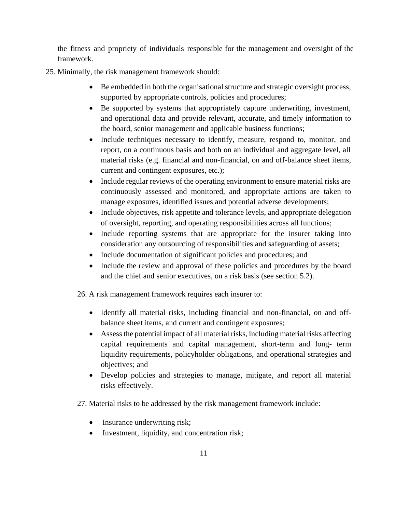the fitness and propriety of individuals responsible for the management and oversight of the framework.

- 25. Minimally, the risk management framework should:
	- Be embedded in both the organisational structure and strategic oversight process, supported by appropriate controls, policies and procedures;
	- Be supported by systems that appropriately capture underwriting, investment, and operational data and provide relevant, accurate, and timely information to the board, senior management and applicable business functions;
	- Include techniques necessary to identify, measure, respond to, monitor, and report, on a continuous basis and both on an individual and aggregate level, all material risks (e.g. financial and non-financial, on and off-balance sheet items, current and contingent exposures, etc.);
	- Include regular reviews of the operating environment to ensure material risks are continuously assessed and monitored, and appropriate actions are taken to manage exposures, identified issues and potential adverse developments;
	- Include objectives, risk appetite and tolerance levels, and appropriate delegation of oversight, reporting, and operating responsibilities across all functions;
	- Include reporting systems that are appropriate for the insurer taking into consideration any outsourcing of responsibilities and safeguarding of assets;
	- Include documentation of significant policies and procedures; and
	- Include the review and approval of these policies and procedures by the board and the chief and senior executives, on a risk basis (see section 5.2).

26. A risk management framework requires each insurer to:

- Identify all material risks, including financial and non-financial, on and offbalance sheet items, and current and contingent exposures;
- Assess the potential impact of all material risks, including material risks affecting capital requirements and capital management, short-term and long- term liquidity requirements, policyholder obligations, and operational strategies and objectives; and
- Develop policies and strategies to manage, mitigate, and report all material risks effectively.
- 27. Material risks to be addressed by the risk management framework include:
	- Insurance underwriting risk;
	- Investment, liquidity, and concentration risk;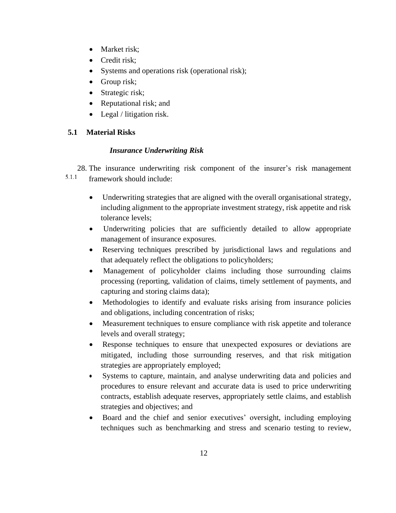- Market risk;
- Credit risk:
- Systems and operations risk (operational risk);
- Group risk;
- Strategic risk;
- Reputational risk; and
- Legal / litigation risk.

# <span id="page-18-1"></span><span id="page-18-0"></span>**5.1 Material Risks**

# *Insurance Underwriting Risk*

28. The insurance underwriting risk component of the insurer's risk management  $5.1.1$ framework should include:

- Underwriting strategies that are aligned with the overall organisational strategy, including alignment to the appropriate investment strategy, risk appetite and risk tolerance levels;
- Underwriting policies that are sufficiently detailed to allow appropriate management of insurance exposures.
- Reserving techniques prescribed by jurisdictional laws and regulations and that adequately reflect the obligations to policyholders;
- Management of policyholder claims including those surrounding claims processing (reporting, validation of claims, timely settlement of payments, and capturing and storing claims data);
- Methodologies to identify and evaluate risks arising from insurance policies and obligations, including concentration of risks;
- Measurement techniques to ensure compliance with risk appetite and tolerance levels and overall strategy;
- Response techniques to ensure that unexpected exposures or deviations are mitigated, including those surrounding reserves, and that risk mitigation strategies are appropriately employed;
- Systems to capture, maintain, and analyse underwriting data and policies and procedures to ensure relevant and accurate data is used to price underwriting contracts, establish adequate reserves, appropriately settle claims, and establish strategies and objectives; and
- Board and the chief and senior executives' oversight, including employing techniques such as benchmarking and stress and scenario testing to review,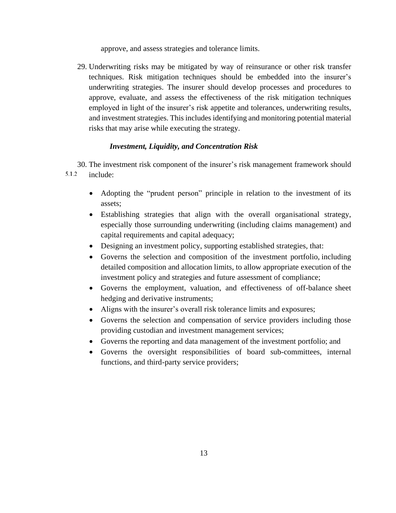approve, and assess strategies and tolerance limits.

29. Underwriting risks may be mitigated by way of reinsurance or other risk transfer techniques. Risk mitigation techniques should be embedded into the insurer's underwriting strategies. The insurer should develop processes and procedures to approve, evaluate, and assess the effectiveness of the risk mitigation techniques employed in light of the insurer's risk appetite and tolerances, underwriting results, and investment strategies. This includes identifying and monitoring potential material risks that may arise while executing the strategy.

# *Investment, Liquidity, and Concentration Risk*

- <span id="page-19-0"></span>30. The investment risk component of the insurer's risk management framework should 5.1.2 include:
	- Adopting the "prudent person" principle in relation to the investment of its assets;
	- Establishing strategies that align with the overall organisational strategy, especially those surrounding underwriting (including claims management) and capital requirements and capital adequacy;
	- Designing an investment policy, supporting established strategies, that:
	- Governs the selection and composition of the investment portfolio, including detailed composition and allocation limits, to allow appropriate execution of the investment policy and strategies and future assessment of compliance;
	- Governs the employment, valuation, and effectiveness of off-balance sheet hedging and derivative instruments;
	- Aligns with the insurer's overall risk tolerance limits and exposures;
	- Governs the selection and compensation of service providers including those providing custodian and investment management services;
	- Governs the reporting and data management of the investment portfolio; and
	- Governs the oversight responsibilities of board sub-committees, internal functions, and third-party service providers;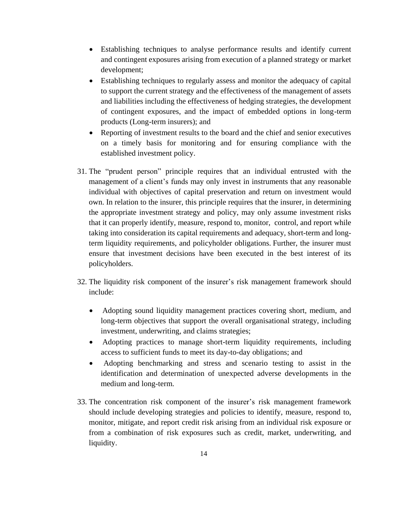- Establishing techniques to analyse performance results and identify current and contingent exposures arising from execution of a planned strategy or market development;
- Establishing techniques to regularly assess and monitor the adequacy of capital to support the current strategy and the effectiveness of the management of assets and liabilities including the effectiveness of hedging strategies, the development of contingent exposures, and the impact of embedded options in long-term products (Long-term insurers); and
- Reporting of investment results to the board and the chief and senior executives on a timely basis for monitoring and for ensuring compliance with the established investment policy.
- 31. The "prudent person" principle requires that an individual entrusted with the management of a client's funds may only invest in instruments that any reasonable individual with objectives of capital preservation and return on investment would own. In relation to the insurer, this principle requires that the insurer, in determining the appropriate investment strategy and policy, may only assume investment risks that it can properly identify, measure, respond to, monitor, control, and report while taking into consideration its capital requirements and adequacy, short-term and longterm liquidity requirements, and policyholder obligations. Further, the insurer must ensure that investment decisions have been executed in the best interest of its policyholders.
- 32. The liquidity risk component of the insurer's risk management framework should include:
	- Adopting sound liquidity management practices covering short, medium, and long-term objectives that support the overall organisational strategy, including investment, underwriting, and claims strategies;
	- Adopting practices to manage short-term liquidity requirements, including access to sufficient funds to meet its day-to-day obligations; and
	- Adopting benchmarking and stress and scenario testing to assist in the identification and determination of unexpected adverse developments in the medium and long-term.
- 33. The concentration risk component of the insurer's risk management framework should include developing strategies and policies to identify, measure, respond to, monitor, mitigate, and report credit risk arising from an individual risk exposure or from a combination of risk exposures such as credit, market, underwriting, and liquidity.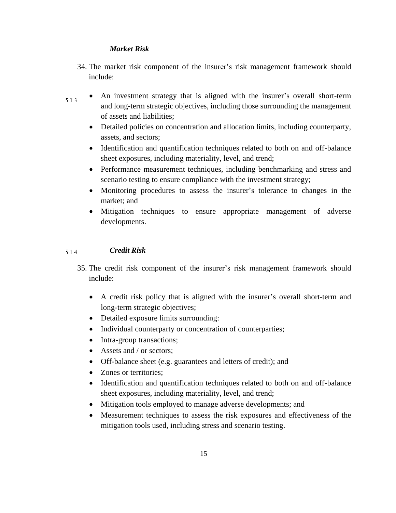# *Market Risk*

- <span id="page-21-0"></span>34. The market risk component of the insurer's risk management framework should include:
- An investment strategy that is aligned with the insurer's overall short-term 5.1.3 and long-term strategic objectives, including those surrounding the management of assets and liabilities;
	- Detailed policies on concentration and allocation limits, including counterparty, assets, and sectors;
	- Identification and quantification techniques related to both on and off-balance sheet exposures, including materiality, level, and trend;
	- Performance measurement techniques, including benchmarking and stress and scenario testing to ensure compliance with the investment strategy;
	- Monitoring procedures to assess the insurer's tolerance to changes in the market; and
	- Mitigation techniques to ensure appropriate management of adverse developments.

#### <span id="page-21-1"></span>*Credit Risk* 5.1.4

- 35. The credit risk component of the insurer's risk management framework should include:
	- A credit risk policy that is aligned with the insurer's overall short-term and long-term strategic objectives;
	- Detailed exposure limits surrounding:
	- Individual counterparty or concentration of counterparties;
	- Intra-group transactions;
	- Assets and / or sectors;
	- Off-balance sheet (e.g. guarantees and letters of credit); and
	- Zones or territories;
	- Identification and quantification techniques related to both on and off-balance sheet exposures, including materiality, level, and trend;
	- Mitigation tools employed to manage adverse developments; and
	- Measurement techniques to assess the risk exposures and effectiveness of the mitigation tools used, including stress and scenario testing.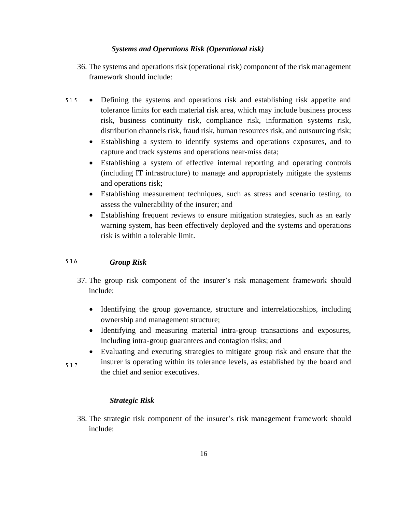# <span id="page-22-0"></span>*Systems and Operations Risk (Operational risk)*

- 36. The systems and operations risk (operational risk) component of the risk management framework should include:
- 5.1.5 Defining the systems and operations risk and establishing risk appetite and tolerance limits for each material risk area, which may include business process risk, business continuity risk, compliance risk, information systems risk, distribution channels risk, fraud risk, human resources risk, and outsourcing risk;
	- Establishing a system to identify systems and operations exposures, and to capture and track systems and operations near-miss data;
	- Establishing a system of effective internal reporting and operating controls (including IT infrastructure) to manage and appropriately mitigate the systems and operations risk;
	- Establishing measurement techniques, such as stress and scenario testing, to assess the vulnerability of the insurer; and
	- Establishing frequent reviews to ensure mitigation strategies, such as an early warning system, has been effectively deployed and the systems and operations risk is within a tolerable limit.

#### <span id="page-22-1"></span>5.1.6 *Group Risk*

- 37. The group risk component of the insurer's risk management framework should include:
	- Identifying the group governance, structure and interrelationships, including ownership and management structure;
	- Identifying and measuring material intra-group transactions and exposures, including intra-group guarantees and contagion risks; and
	- Evaluating and executing strategies to mitigate group risk and ensure that the insurer is operating within its tolerance levels, as established by the board and

 $5.1.7$ the chief and senior executives.

# *Strategic Risk*

<span id="page-22-2"></span>38. The strategic risk component of the insurer's risk management framework should include: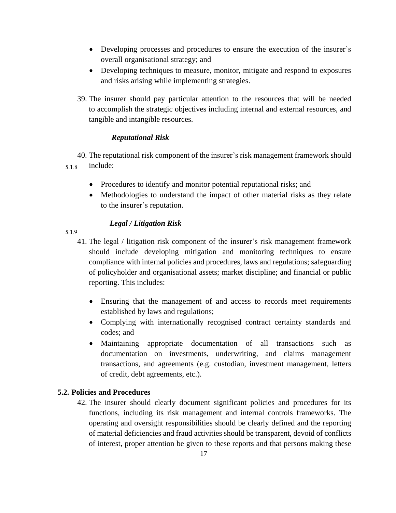- Developing processes and procedures to ensure the execution of the insurer's overall organisational strategy; and
- Developing techniques to measure, monitor, mitigate and respond to exposures and risks arising while implementing strategies.
- 39. The insurer should pay particular attention to the resources that will be needed to accomplish the strategic objectives including internal and external resources, and tangible and intangible resources.

# <span id="page-23-0"></span>*Reputational Risk*

40. The reputational risk component of the insurer's risk management framework should include: 5.1.8

- Procedures to identify and monitor potential reputational risks; and
- Methodologies to understand the impact of other material risks as they relate to the insurer's reputation.

# *Legal / Litigation Risk*

<span id="page-23-1"></span>5.1.9

- 41. The legal / litigation risk component of the insurer's risk management framework should include developing mitigation and monitoring techniques to ensure compliance with internal policies and procedures, laws and regulations; safeguarding of policyholder and organisational assets; market discipline; and financial or public reporting. This includes:
	- Ensuring that the management of and access to records meet requirements established by laws and regulations;
	- Complying with internationally recognised contract certainty standards and codes; and
	- Maintaining appropriate documentation of all transactions such as documentation on investments, underwriting, and claims management transactions, and agreements (e.g. custodian, investment management, letters of credit, debt agreements, etc.).

# **5.2. Policies and Procedures**

42. The insurer should clearly document significant policies and procedures for its functions, including its risk management and internal controls frameworks. The operating and oversight responsibilities should be clearly defined and the reporting of material deficiencies and fraud activities should be transparent, devoid of conflicts of interest, proper attention be given to these reports and that persons making these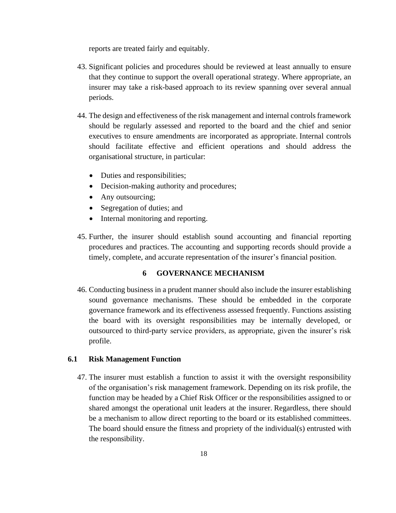reports are treated fairly and equitably.

- 43. Significant policies and procedures should be reviewed at least annually to ensure that they continue to support the overall operational strategy. Where appropriate, an insurer may take a risk-based approach to its review spanning over several annual periods.
- 44. The design and effectiveness of the risk management and internal controls framework should be regularly assessed and reported to the board and the chief and senior executives to ensure amendments are incorporated as appropriate. Internal controls should facilitate effective and efficient operations and should address the organisational structure, in particular:
	- Duties and responsibilities;
	- Decision-making authority and procedures;
	- Any outsourcing;
	- Segregation of duties; and
	- Internal monitoring and reporting.
- 45. Further, the insurer should establish sound accounting and financial reporting procedures and practices. The accounting and supporting records should provide a timely, complete, and accurate representation of the insurer's financial position.

### **6 GOVERNANCE MECHANISM**

<span id="page-24-0"></span>46. Conducting business in a prudent manner should also include the insurer establishing sound governance mechanisms. These should be embedded in the corporate governance framework and its effectiveness assessed frequently. Functions assisting the board with its oversight responsibilities may be internally developed, or outsourced to third-party service providers, as appropriate, given the insurer's risk profile.

### <span id="page-24-1"></span>**6.1 Risk Management Function**

47. The insurer must establish a function to assist it with the oversight responsibility of the organisation's risk management framework. Depending on its risk profile, the function may be headed by a Chief Risk Officer or the responsibilities assigned to or shared amongst the operational unit leaders at the insurer. Regardless, there should be a mechanism to allow direct reporting to the board or its established committees. The board should ensure the fitness and propriety of the individual(s) entrusted with the responsibility.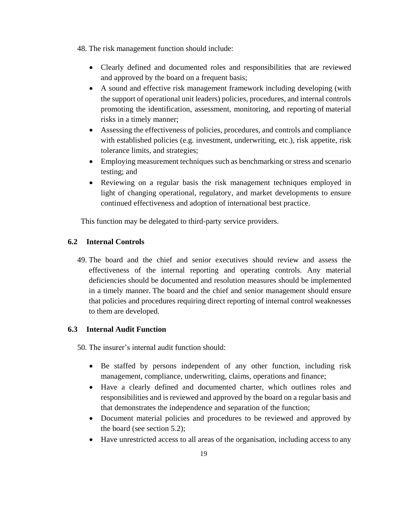48. The risk management function should include:

- Clearly defined and documented roles and responsibilities that are reviewed and approved by the board on a frequent basis;
- A sound and effective risk management framework including developing (with the support of operational unit leaders) policies, procedures, and internal controls promoting the identification, assessment, monitoring, and reporting of material risks in a timely manner;
- Assessing the effectiveness of policies, procedures, and controls and compliance with established policies (e.g. investment, underwriting, etc.), risk appetite, risk tolerance limits, and strategies;
- Employing measurement techniques such as benchmarking or stress and scenario testing; and
- Reviewing on a regular basis the risk management techniques employed in light of changing operational, regulatory, and market developments to ensure continued effectiveness and adoption of international best practice.

This function may be delegated to third-party service providers.

# <span id="page-25-0"></span>**6.2 Internal Controls**

49. The board and the chief and senior executives should review and assess the effectiveness of the internal reporting and operating controls. Any material deficiencies should be documented and resolution measures should be implemented in a timely manner. The board and the chief and senior management should ensure that policies and procedures requiring direct reporting of internal control weaknesses to them are developed.

# <span id="page-25-1"></span>**6.3 Internal Audit Function**

50. The insurer's internal audit function should:

- Be staffed by persons independent of any other function, including risk management, compliance, underwriting, claims, operations and finance;
- Have a clearly defined and documented charter, which outlines roles and responsibilities and is reviewed and approved by the board on a regular basis and that demonstrates the independence and separation of the function;
- Document material policies and procedures to be reviewed and approved by the board (see section 5.2);
- Have unrestricted access to all areas of the organisation, including access to any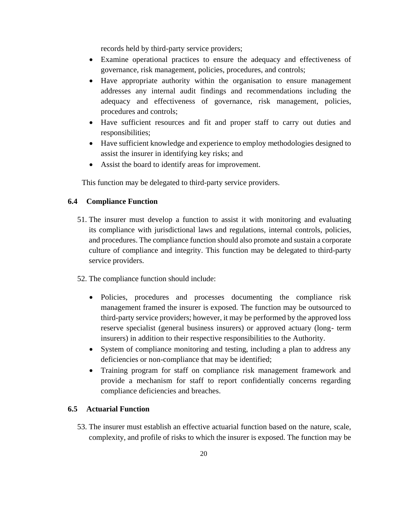records held by third-party service providers;

- Examine operational practices to ensure the adequacy and effectiveness of governance, risk management, policies, procedures, and controls;
- Have appropriate authority within the organisation to ensure management addresses any internal audit findings and recommendations including the adequacy and effectiveness of governance, risk management, policies, procedures and controls;
- Have sufficient resources and fit and proper staff to carry out duties and responsibilities;
- Have sufficient knowledge and experience to employ methodologies designed to assist the insurer in identifying key risks; and
- Assist the board to identify areas for improvement.

This function may be delegated to third-party service providers.

# <span id="page-26-0"></span>**6.4 Compliance Function**

- 51. The insurer must develop a function to assist it with monitoring and evaluating its compliance with jurisdictional laws and regulations, internal controls, policies, and procedures. The compliance function should also promote and sustain a corporate culture of compliance and integrity. This function may be delegated to third-party service providers.
- 52. The compliance function should include:
	- Policies, procedures and processes documenting the compliance risk management framed the insurer is exposed. The function may be outsourced to third-party service providers; however, it may be performed by the approved loss reserve specialist (general business insurers) or approved actuary (long- term insurers) in addition to their respective responsibilities to the Authority.
	- System of compliance monitoring and testing, including a plan to address any deficiencies or non-compliance that may be identified;
	- Training program for staff on compliance risk management framework and provide a mechanism for staff to report confidentially concerns regarding compliance deficiencies and breaches.

#### <span id="page-26-1"></span>**6.5 Actuarial Function**

53. The insurer must establish an effective actuarial function based on the nature, scale, complexity, and profile of risks to which the insurer is exposed. The function may be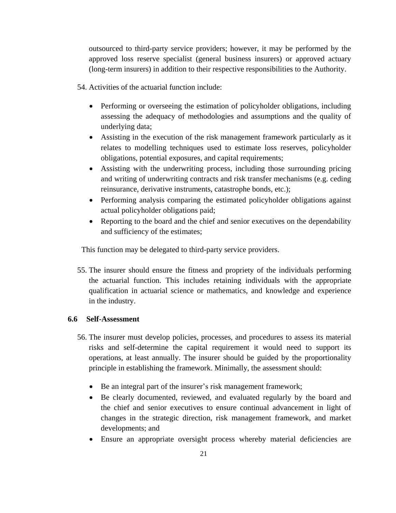outsourced to third-party service providers; however, it may be performed by the approved loss reserve specialist (general business insurers) or approved actuary (long-term insurers) in addition to their respective responsibilities to the Authority.

- 54. Activities of the actuarial function include:
	- Performing or overseeing the estimation of policyholder obligations, including assessing the adequacy of methodologies and assumptions and the quality of underlying data;
	- Assisting in the execution of the risk management framework particularly as it relates to modelling techniques used to estimate loss reserves, policyholder obligations, potential exposures, and capital requirements;
	- Assisting with the underwriting process, including those surrounding pricing and writing of underwriting contracts and risk transfer mechanisms (e.g. ceding reinsurance, derivative instruments, catastrophe bonds, etc.);
	- Performing analysis comparing the estimated policyholder obligations against actual policyholder obligations paid;
	- Reporting to the board and the chief and senior executives on the dependability and sufficiency of the estimates;

This function may be delegated to third-party service providers.

55. The insurer should ensure the fitness and propriety of the individuals performing the actuarial function. This includes retaining individuals with the appropriate qualification in actuarial science or mathematics, and knowledge and experience in the industry.

# <span id="page-27-0"></span>**6.6 Self-Assessment**

- 56. The insurer must develop policies, processes, and procedures to assess its material risks and self-determine the capital requirement it would need to support its operations, at least annually. The insurer should be guided by the proportionality principle in establishing the framework. Minimally, the assessment should:
	- Be an integral part of the insurer's risk management framework;
	- Be clearly documented, reviewed, and evaluated regularly by the board and the chief and senior executives to ensure continual advancement in light of changes in the strategic direction, risk management framework, and market developments; and
	- Ensure an appropriate oversight process whereby material deficiencies are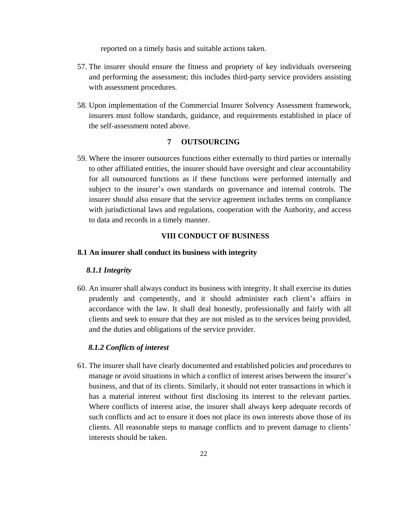reported on a timely basis and suitable actions taken.

- 57. The insurer should ensure the fitness and propriety of key individuals overseeing and performing the assessment; this includes third-party service providers assisting with assessment procedures.
- 58. Upon implementation of the Commercial Insurer Solvency Assessment framework, insurers must follow standards, guidance, and requirements established in place of the self-assessment noted above.

#### **7 OUTSOURCING**

<span id="page-28-0"></span>59. Where the insurer outsources functions either externally to third parties or internally to other affiliated entities, the insurer should have oversight and clear accountability for all outsourced functions as if these functions were performed internally and subject to the insurer's own standards on governance and internal controls. The insurer should also ensure that the service agreement includes terms on compliance with jurisdictional laws and regulations, cooperation with the Authority, and access to data and records in a timely manner.

#### **VIII CONDUCT OF BUSINESS**

#### <span id="page-28-3"></span><span id="page-28-2"></span><span id="page-28-1"></span>**8.1 An insurer shall conduct its business with integrity**

#### *8.1.1 Integrity*

60. An insurer shall always conduct its business with integrity. It shall exercise its duties prudently and competently, and it should administer each client's affairs in accordance with the law. It shall deal honestly, professionally and fairly with all clients and seek to ensure that they are not misled as to the services being provided, and the duties and obligations of the service provider.

#### *8.1.2 Conflicts of interest*

<span id="page-28-4"></span>61. The insurer shall have clearly documented and established policies and procedures to manage or avoid situations in which a conflict of interest arises between the insurer's business, and that of its clients. Similarly, it should not enter transactions in which it has a material interest without first disclosing its interest to the relevant parties. Where conflicts of interest arise, the insurer shall always keep adequate records of such conflicts and act to ensure it does not place its own interests above those of its clients. All reasonable steps to manage conflicts and to prevent damage to clients' interests should be taken.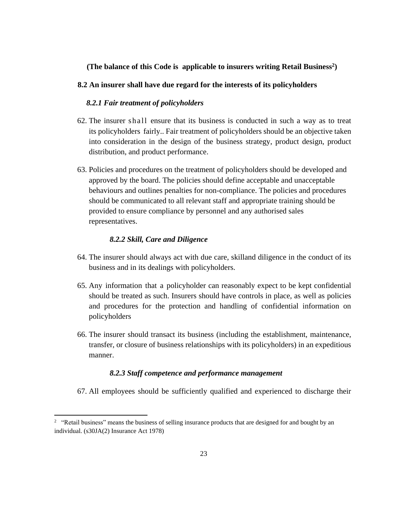# **(The balance of this Code is applicable to insurers writing Retail Business 2 )**

#### <span id="page-29-1"></span><span id="page-29-0"></span>**8.2 An insurer shall have due regard for the interests of its policyholders**

### *8.2.1 Fair treatment of policyholders*

- 62. The insurer shall ensure that its business is conducted in such a way as to treat its policyholders fairly.. Fair treatment of policyholders should be an objective taken into consideration in the design of the business strategy, product design, product distribution, and product performance.
- 63. Policies and procedures on the treatment of policyholders should be developed and approved by the board. The policies should define acceptable and unacceptable behaviours and outlines penalties for non-compliance. The policies and procedures should be communicated to all relevant staff and appropriate training should be provided to ensure compliance by personnel and any authorised sales representatives.

#### *8.2.2 Skill, Care and Diligence*

 $\overline{a}$ 

- <span id="page-29-2"></span>64. The insurer should always act with due care, skilland diligence in the conduct of its business and in its dealings with policyholders.
- 65. Any information that a policyholder can reasonably expect to be kept confidential should be treated as such. Insurers should have controls in place, as well as policies and procedures for the protection and handling of confidential information on policyholders
- 66. The insurer should transact its business (including the establishment, maintenance, transfer, or closure of business relationships with its policyholders) in an expeditious manner.

#### *8.2.3 Staff competence and performance management*

<span id="page-29-3"></span>67. All employees should be sufficiently qualified and experienced to discharge their

<sup>&</sup>lt;sup>2</sup> "Retail business" means the business of selling insurance products that are designed for and bought by an individual. (s30JA(2) Insurance Act 1978)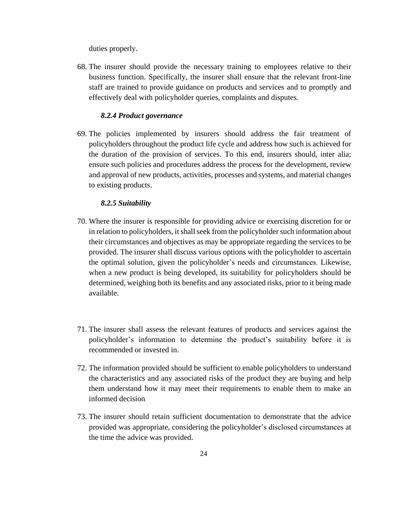duties properly.

68. The insurer should provide the necessary training to employees relative to their business function. Specifically, the insurer shall ensure that the relevant front-line staff are trained to provide guidance on products and services and to promptly and effectively deal with policyholder queries, complaints and disputes.

#### *8.2.4 Product governance*

<span id="page-30-0"></span>69. The policies implemented by insurers should address the fair treatment of policyholders throughout the product life cycle and address how such is achieved for the duration of the provision of services. To this end, insurers should, inter alia; ensure such policies and procedures address the process for the development, review and approval of new products, activities, processes and systems, and material changes to existing products.

#### *8.2.5 Suitability*

- <span id="page-30-1"></span>70. Where the insurer is responsible for providing advice or exercising discretion for or in relation to policyholders, it shall seek from the policyholder such information about their circumstances and objectives as may be appropriate regarding the services to be provided. The insurer shall discuss various options with the policyholder to ascertain the optimal solution, given the policyholder's needs and circumstances. Likewise, when a new product is being developed, its suitability for policyholders should be determined, weighing both its benefits and any associated risks, prior to it being made available.
- 71. The insurer shall assess the relevant features of products and services against the policyholder's information to determine the product's suitability before it is recommended or invested in.
- 72. The information provided should be sufficient to enable policyholders to understand the characteristics and any associated risks of the product they are buying and help them understand how it may meet their requirements to enable them to make an informed decision
- 73. The insurer should retain sufficient documentation to demonstrate that the advice provided was appropriate, considering the policyholder's disclosed circumstances at the time the advice was provided.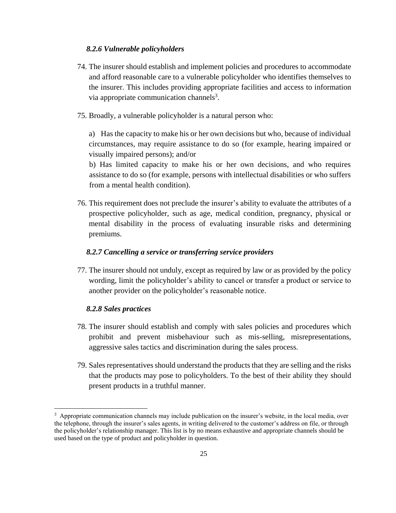#### *8.2.6 Vulnerable policyholders*

- <span id="page-31-0"></span>74. The insurer should establish and implement policies and procedures to accommodate and afford reasonable care to a vulnerable policyholder who identifies themselves to the insurer. This includes providing appropriate facilities and access to information via appropriate communication channels<sup>3</sup>.
- 75. Broadly, a vulnerable policyholder is a natural person who:

a) Has the capacity to make his or her own decisions but who, because of individual circumstances, may require assistance to do so (for example, hearing impaired or visually impaired persons); and/or

b) Has limited capacity to make his or her own decisions, and who requires assistance to do so (for example, persons with intellectual disabilities or who suffers from a mental health condition).

76. This requirement does not preclude the insurer's ability to evaluate the attributes of a prospective policyholder, such as age, medical condition, pregnancy, physical or mental disability in the process of evaluating insurable risks and determining premiums.

#### *8.2.7 Cancelling a service or transferring service providers*

<span id="page-31-1"></span>77. The insurer should not unduly, except as required by law or as provided by the policy wording, limit the policyholder's ability to cancel or transfer a product or service to another provider on the policyholder's reasonable notice.

#### *8.2.8 Sales practices*

 $\overline{\phantom{a}}$ 

- <span id="page-31-2"></span>78. The insurer should establish and comply with sales policies and procedures which prohibit and prevent misbehaviour such as mis-selling, misrepresentations, aggressive sales tactics and discrimination during the sales process.
- 79. Sales representatives should understand the products that they are selling and the risks that the products may pose to policyholders. To the best of their ability they should present products in a truthful manner.

<sup>&</sup>lt;sup>3</sup> Appropriate communication channels may include publication on the insurer's website, in the local media, over the telephone, through the insurer's sales agents, in writing delivered to the customer's address on file, or through the policyholder's relationship manager. This list is by no means exhaustive and appropriate channels should be used based on the type of product and policyholder in question.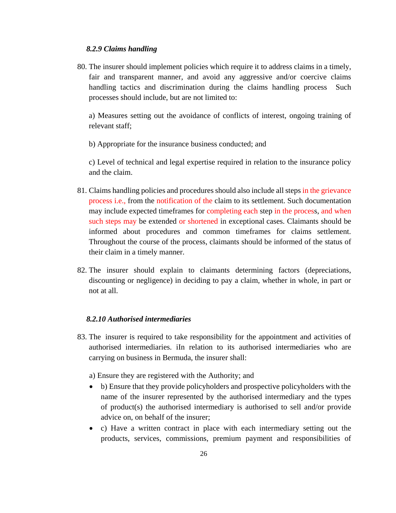#### *8.2.9 Claims handling*

<span id="page-32-0"></span>80. The insurer should implement policies which require it to address claims in a timely, fair and transparent manner, and avoid any aggressive and/or coercive claims handling tactics and discrimination during the claims handling process Such processes should include, but are not limited to:

a) Measures setting out the avoidance of conflicts of interest, ongoing training of relevant staff;

b) Appropriate for the insurance business conducted; and

c) Level of technical and legal expertise required in relation to the insurance policy and the claim.

- 81. Claims handling policies and procedures should also include all steps in the grievance process i.e., from the notification of the claim to its settlement. Such documentation may include expected timeframes for completing each step in the process, and when such steps may be extended or shortened in exceptional cases. Claimants should be informed about procedures and common timeframes for claims settlement. Throughout the course of the process, claimants should be informed of the status of their claim in a timely manner.
- 82. The insurer should explain to claimants determining factors (depreciations, discounting or negligence) in deciding to pay a claim, whether in whole, in part or not at all.

#### *8.2.10 Authorised intermediaries*

<span id="page-32-1"></span>83. The insurer is required to take responsibility for the appointment and activities of authorised intermediaries. iIn relation to its authorised intermediaries who are carrying on business in Bermuda, the insurer shall:

a) Ensure they are registered with the Authority; and

- b) Ensure that they provide policyholders and prospective policyholders with the name of the insurer represented by the authorised intermediary and the types of product(s) the authorised intermediary is authorised to sell and/or provide advice on, on behalf of the insurer;
- c) Have a written contract in place with each intermediary setting out the products, services, commissions, premium payment and responsibilities of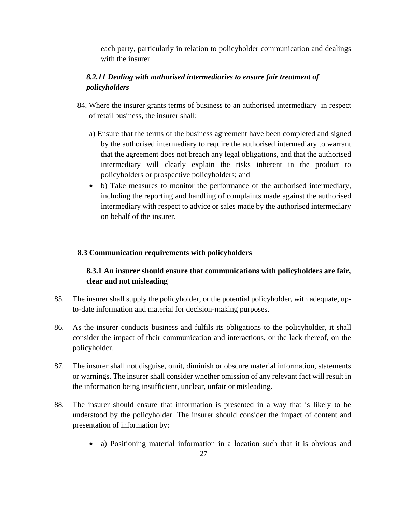each party, particularly in relation to policyholder communication and dealings with the insurer.

# <span id="page-33-0"></span>*8.2.11 Dealing with authorised intermediaries to ensure fair treatment of policyholders*

- 84. Where the insurer grants terms of business to an authorised intermediary in respect of retail business, the insurer shall:
	- a) Ensure that the terms of the business agreement have been completed and signed by the authorised intermediary to require the authorised intermediary to warrant that the agreement does not breach any legal obligations, and that the authorised intermediary will clearly explain the risks inherent in the product to policyholders or prospective policyholders; and
	- b) Take measures to monitor the performance of the authorised intermediary, including the reporting and handling of complaints made against the authorised intermediary with respect to advice or sales made by the authorised intermediary on behalf of the insurer.

### <span id="page-33-1"></span>**8.3 Communication requirements with policyholders**

# **8.3.1 An insurer should ensure that communications with policyholders are fair, clear and not misleading**

- <span id="page-33-2"></span>85. The insurer shall supply the policyholder, or the potential policyholder, with adequate, upto-date information and material for decision-making purposes.
- 86. As the insurer conducts business and fulfils its obligations to the policyholder, it shall consider the impact of their communication and interactions, or the lack thereof, on the policyholder.
- 87. The insurer shall not disguise, omit, diminish or obscure material information, statements or warnings. The insurer shall consider whether omission of any relevant fact will result in the information being insufficient, unclear, unfair or misleading.
- 88. The insurer should ensure that information is presented in a way that is likely to be understood by the policyholder. The insurer should consider the impact of content and presentation of information by:
	- a) Positioning material information in a location such that it is obvious and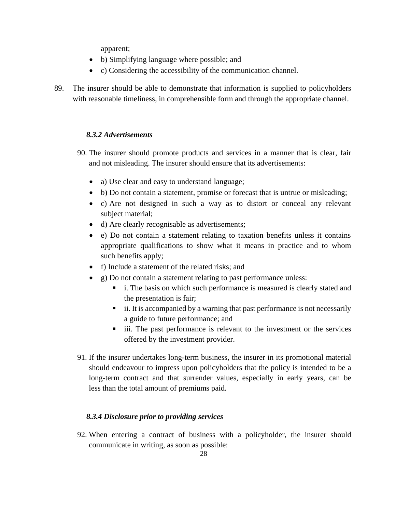apparent;

- b) Simplifying language where possible; and
- c) Considering the accessibility of the communication channel.
- 89. The insurer should be able to demonstrate that information is supplied to policyholders with reasonable timeliness, in comprehensible form and through the appropriate channel.

# *8.3.2 Advertisements*

- <span id="page-34-0"></span>90. The insurer should promote products and services in a manner that is clear, fair and not misleading. The insurer should ensure that its advertisements:
	- a) Use clear and easy to understand language;
	- b) Do not contain a statement, promise or forecast that is untrue or misleading;
	- c) Are not designed in such a way as to distort or conceal any relevant subject material;
	- d) Are clearly recognisable as advertisements;
	- e) Do not contain a statement relating to taxation benefits unless it contains appropriate qualifications to show what it means in practice and to whom such benefits apply;
	- f) Include a statement of the related risks; and
	- g) Do not contain a statement relating to past performance unless:
		- i. The basis on which such performance is measured is clearly stated and the presentation is fair;
		- ii. It is accompanied by a warning that past performance is not necessarily a guide to future performance; and
		- iii. The past performance is relevant to the investment or the services offered by the investment provider.
- 91. If the insurer undertakes long-term business, the insurer in its promotional material should endeavour to impress upon policyholders that the policy is intended to be a long-term contract and that surrender values, especially in early years, can be less than the total amount of premiums paid.

### *8.3.4 Disclosure prior to providing services*

<span id="page-34-1"></span>92. When entering a contract of business with a policyholder, the insurer should communicate in writing, as soon as possible: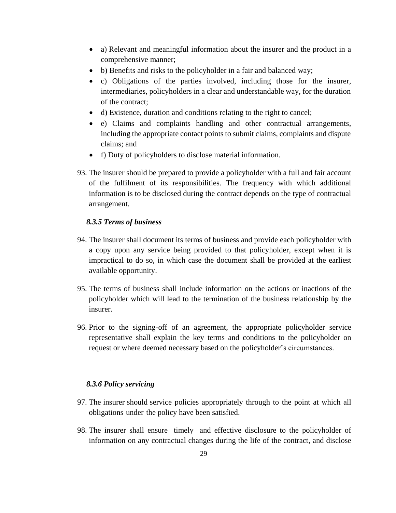- a) Relevant and meaningful information about the insurer and the product in a comprehensive manner;
- b) Benefits and risks to the policyholder in a fair and balanced way;
- c) Obligations of the parties involved, including those for the insurer, intermediaries, policyholders in a clear and understandable way, for the duration of the contract;
- d) Existence, duration and conditions relating to the right to cancel;
- e) Claims and complaints handling and other contractual arrangements, including the appropriate contact points to submit claims, complaints and dispute claims; and
- f) Duty of policyholders to disclose material information.
- 93. The insurer should be prepared to provide a policyholder with a full and fair account of the fulfilment of its responsibilities. The frequency with which additional information is to be disclosed during the contract depends on the type of contractual arrangement.

# *8.3.5 Terms of business*

- <span id="page-35-0"></span>94. The insurer shall document its terms of business and provide each policyholder with a copy upon any service being provided to that policyholder, except when it is impractical to do so, in which case the document shall be provided at the earliest available opportunity.
- 95. The terms of business shall include information on the actions or inactions of the policyholder which will lead to the termination of the business relationship by the insurer.
- 96. Prior to the signing-off of an agreement, the appropriate policyholder service representative shall explain the key terms and conditions to the policyholder on request or where deemed necessary based on the policyholder's circumstances.

# *8.3.6 Policy servicing*

- <span id="page-35-1"></span>97. The insurer should service policies appropriately through to the point at which all obligations under the policy have been satisfied.
- 98. The insurer shall ensure timely and effective disclosure to the policyholder of information on any contractual changes during the life of the contract, and disclose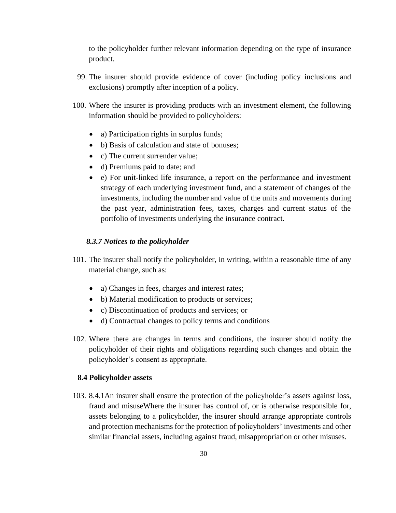to the policyholder further relevant information depending on the type of insurance product.

- 99. The insurer should provide evidence of cover (including policy inclusions and exclusions) promptly after inception of a policy.
- 100. Where the insurer is providing products with an investment element, the following information should be provided to policyholders:
	- a) Participation rights in surplus funds;
	- b) Basis of calculation and state of bonuses;
	- c) The current surrender value:
	- d) Premiums paid to date; and
	- e) For unit‐linked life insurance, a report on the performance and investment strategy of each underlying investment fund, and a statement of changes of the investments, including the number and value of the units and movements during the past year, administration fees, taxes, charges and current status of the portfolio of investments underlying the insurance contract.

#### *8.3.7 Notices to the policyholder*

- <span id="page-36-0"></span>101. The insurer shall notify the policyholder, in writing, within a reasonable time of any material change, such as:
	- a) Changes in fees, charges and interest rates;
	- b) Material modification to products or services;
	- c) Discontinuation of products and services; or
	- d) Contractual changes to policy terms and conditions
- 102. Where there are changes in terms and conditions, the insurer should notify the policyholder of their rights and obligations regarding such changes and obtain the policyholder's consent as appropriate.

### <span id="page-36-1"></span>**8.4 Policyholder assets**

<span id="page-36-2"></span>103. 8.4.1An insurer shall ensure the protection of the policyholder's assets against loss, fraud and misuseWhere the insurer has control of, or is otherwise responsible for, assets belonging to a policyholder, the insurer should arrange appropriate controls and protection mechanisms for the protection of policyholders' investments and other similar financial assets, including against fraud, misappropriation or other misuses.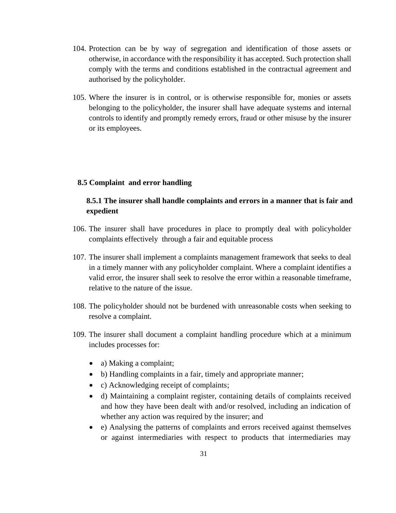- 104. Protection can be by way of segregation and identification of those assets or otherwise, in accordance with the responsibility it has accepted. Such protection shall comply with the terms and conditions established in the contractual agreement and authorised by the policyholder.
- 105. Where the insurer is in control, or is otherwise responsible for, monies or assets belonging to the policyholder, the insurer shall have adequate systems and internal controls to identify and promptly remedy errors, fraud or other misuse by the insurer or its employees.

#### <span id="page-37-1"></span><span id="page-37-0"></span>**8.5 Complaint and error handling**

# **8.5.1 The insurer shall handle complaints and errors in a manner that is fair and expedient**

- 106. The insurer shall have procedures in place to promptly deal with policyholder complaints effectively through a fair and equitable process
- 107. The insurer shall implement a complaints management framework that seeks to deal in a timely manner with any policyholder complaint. Where a complaint identifies a valid error, the insurer shall seek to resolve the error within a reasonable timeframe, relative to the nature of the issue.
- 108. The policyholder should not be burdened with unreasonable costs when seeking to resolve a complaint.
- 109. The insurer shall document a complaint handling procedure which at a minimum includes processes for:
	- a) Making a complaint;
	- b) Handling complaints in a fair, timely and appropriate manner;
	- c) Acknowledging receipt of complaints;
	- d) Maintaining a complaint register, containing details of complaints received and how they have been dealt with and/or resolved, including an indication of whether any action was required by the insurer; and
	- e) Analysing the patterns of complaints and errors received against themselves or against intermediaries with respect to products that intermediaries may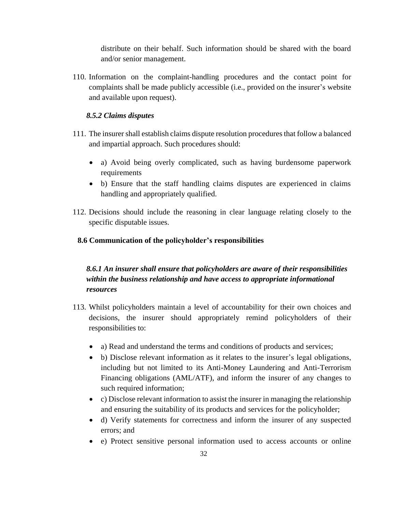distribute on their behalf. Such information should be shared with the board and/or senior management.

110. Information on the complaint-handling procedures and the contact point for complaints shall be made publicly accessible (i.e., provided on the insurer's website and available upon request).

# *8.5.2 Claims disputes*

- <span id="page-38-0"></span>111. The insurer shall establish claims dispute resolution procedures that follow a balanced and impartial approach. Such procedures should:
	- a) Avoid being overly complicated, such as having burdensome paperwork requirements
	- b) Ensure that the staff handling claims disputes are experienced in claims handling and appropriately qualified.
- 112. Decisions should include the reasoning in clear language relating closely to the specific disputable issues.

# <span id="page-38-1"></span>**8.6 Communication of the policyholder's responsibilities**

# <span id="page-38-2"></span>*8.6.1 An insurer shall ensure that policyholders are aware of their responsibilities within the business relationship and have access to appropriate informational resources*

- 113. Whilst policyholders maintain a level of accountability for their own choices and decisions, the insurer should appropriately remind policyholders of their responsibilities to:
	- a) Read and understand the terms and conditions of products and services;
	- b) Disclose relevant information as it relates to the insurer's legal obligations, including but not limited to its Anti-Money Laundering and Anti-Terrorism Financing obligations (AML/ATF), and inform the insurer of any changes to such required information;
	- c) Disclose relevant information to assist the insurer in managing the relationship and ensuring the suitability of its products and services for the policyholder;
	- d) Verify statements for correctness and inform the insurer of any suspected errors; and
	- e) Protect sensitive personal information used to access accounts or online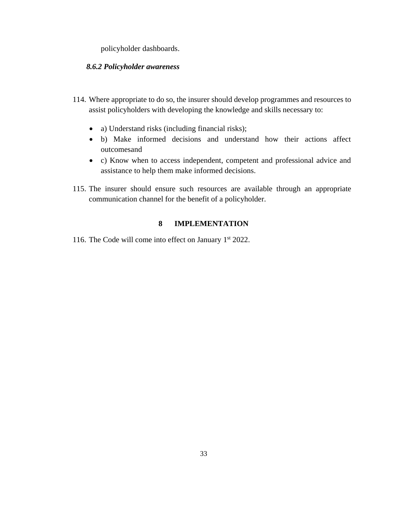policyholder dashboards.

#### <span id="page-39-0"></span>*8.6.2 Policyholder awareness*

- 114. Where appropriate to do so, the insurer should develop programmes and resources to assist policyholders with developing the knowledge and skills necessary to:
	- a) Understand risks (including financial risks);
	- b) Make informed decisions and understand how their actions affect outcomesand
	- c) Know when to access independent, competent and professional advice and assistance to help them make informed decisions.
- 115. The insurer should ensure such resources are available through an appropriate communication channel for the benefit of a policyholder.

#### <span id="page-39-1"></span>**8 IMPLEMENTATION**

116. The Code will come into effect on January 1st 2022.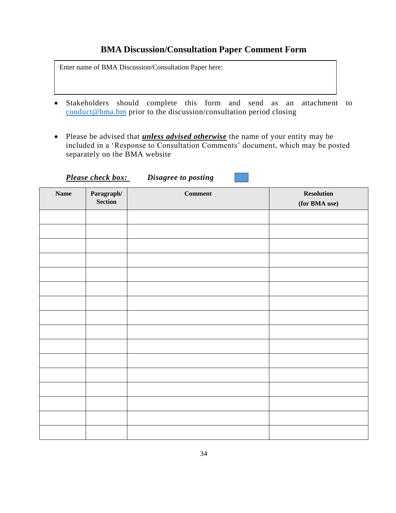# **BMA Discussion/Consultation Paper Comment Form**

Enter name of BMA Discussion/Consultation Paper here:

- Stakeholders should complete this form and send as an attachment to [conduct@bma.bm](mailto:conduct@bma.bm) prior to the discussion/consultation period closing
- Please be advised that *unless advised otherwise* the name of your entity may be included in a 'Response to Consultation Comments' document, which may be posted separately on the BMA website

| <b>Name</b> | Paragraph/<br>Section | $Comment$ | <b>Resolution</b><br>(for BMA use) |
|-------------|-----------------------|-----------|------------------------------------|
|             |                       |           |                                    |
|             |                       |           |                                    |
|             |                       |           |                                    |
|             |                       |           |                                    |
|             |                       |           |                                    |
|             |                       |           |                                    |
|             |                       |           |                                    |
|             |                       |           |                                    |
|             |                       |           |                                    |
|             |                       |           |                                    |
|             |                       |           |                                    |
|             |                       |           |                                    |
|             |                       |           |                                    |
|             |                       |           |                                    |
|             |                       |           |                                    |
|             |                       |           |                                    |

*Please check box: Disagree to posting*